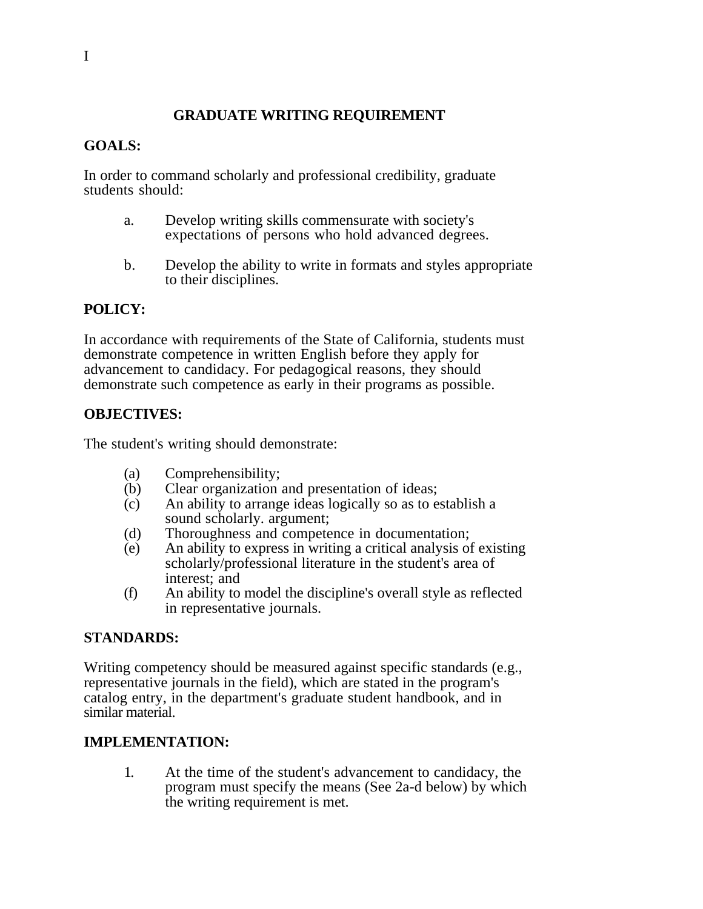# **GRADUATE WRITING REQUIREMENT**

#### **GOALS:**

In order to command scholarly and professional credibility, graduate students should:

- a. Develop writing skills commensurate with society's expectations of persons who hold advanced degrees.
- b. Develop the ability to write in formats and styles appropriate to their disciplines.

## **POLICY:**

In accordance with requirements of the State of California, students must demonstrate competence in written English before they apply for advancement to candidacy. For pedagogical reasons, they should demonstrate such competence as early in their programs as possible.

## **OBJECTIVES:**

The student's writing should demonstrate:

- (a) Comprehensibility;
- (b) Clear organization and presentation of ideas;
- (c) An ability to arrange ideas logically so as to establish a sound scholarly. argument;
- (d) Thoroughness and competence in documentation;
- (e) An ability to express in writing a critical analysis of existing scholarly/professional literature in the student's area of interest; and
- (f) An ability to model the discipline's overall style as reflected in representative journals.

## **STANDARDS:**

Writing competency should be measured against specific standards (e.g., representative journals in the field), which are stated in the program's catalog entry, in the department's graduate student handbook, and in similar material.

#### **IMPLEMENTATION:**

1. At the time of the student's advancement to candidacy, the program must specify the means (See 2a-d below) by which the writing requirement is met.